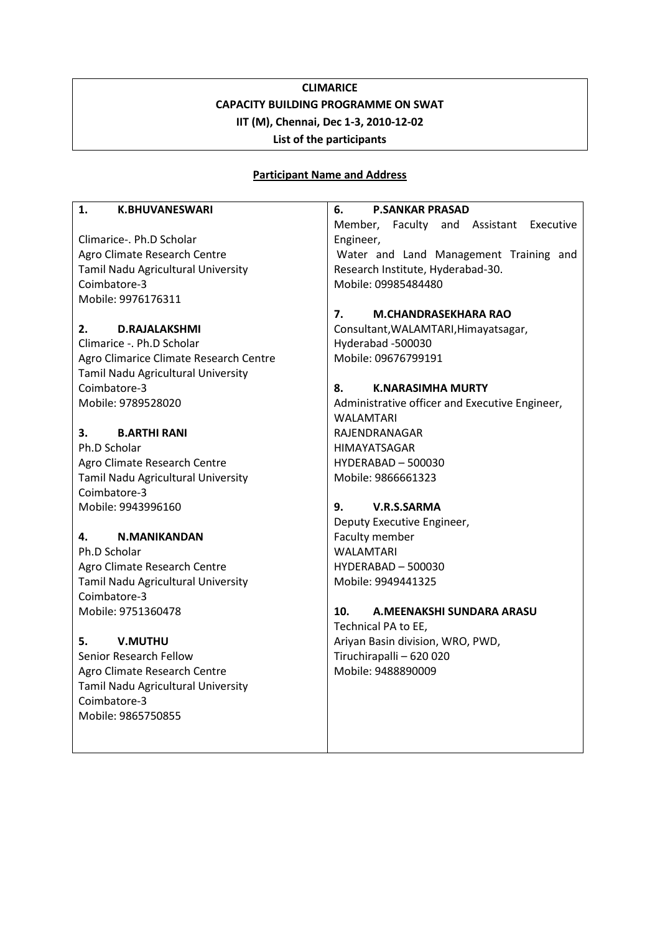# **CLIMARICE CAPACITY BUILDING PROGRAMME ON SWAT IIT (M), Chennai, Dec 1-3, 2010-12-02 List of the participants**

### **Participant Name and Address**

#### **1. K.BHUVANESWARI**

Climarice-. Ph.D Scholar Agro Climate Research Centre Tamil Nadu Agricultural University Coimbatore-3 Mobile: 9976176311

### **2. D.RAJALAKSHMI**

Climarice -. Ph.D Scholar Agro Climarice Climate Research Centre Tamil Nadu Agricultural University Coimbatore-3 Mobile: 9789528020

### **3. B.ARTHI RANI**

Ph.D Scholar Agro Climate Research Centre Tamil Nadu Agricultural University Coimbatore-3 Mobile: 9943996160

### **4. N.MANIKANDAN**

Ph.D Scholar Agro Climate Research Centre Tamil Nadu Agricultural University Coimbatore-3 Mobile: 9751360478

## **5. V.MUTHU**

Senior Research Fellow Agro Climate Research Centre Tamil Nadu Agricultural University Coimbatore-3 Mobile: 9865750855

**6. P.SANKAR PRASAD** Member, Faculty and Assistant Executive Engineer, Water and Land Management Training and Research Institute, Hyderabad-30. Mobile: 09985484480

### **7. M.CHANDRASEKHARA RAO**

Consultant,WALAMTARI,Himayatsagar, Hyderabad -500030 Mobile: 09676799191

### **8. K.NARASIMHA MURTY**

Administrative officer and Executive Engineer, WALAMTARI RAJENDRANAGAR HIMAYATSAGAR HYDERABAD – 500030 Mobile: 9866661323

### **9. V.R.S.SARMA**

Deputy Executive Engineer, Faculty member WALAMTARI HYDERABAD – 500030 Mobile: 9949441325

### **10. A.MEENAKSHI SUNDARA ARASU**

Technical PA to EE, Ariyan Basin division, WRO, PWD, Tiruchirapalli – 620 020 Mobile: 9488890009